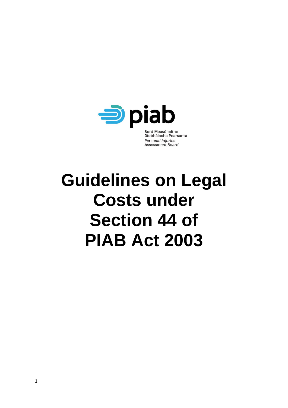

# **Guidelines on Legal Costs under Section 44 of PIAB Act 2003**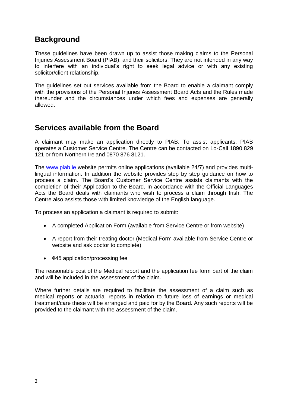## **Background**

These guidelines have been drawn up to assist those making claims to the Personal Injuries Assessment Board (PIAB), and their solicitors. They are not intended in any way to interfere with an individual's right to seek legal advice or with any existing solicitor/client relationship.

The guidelines set out services available from the Board to enable a claimant comply with the provisions of the Personal Injuries Assessment Board Acts and the Rules made thereunder and the circumstances under which fees and expenses are generally allowed.

### **Services available from the Board**

A claimant may make an application directly to PIAB. To assist applicants, PIAB operates a Customer Service Centre. The Centre can be contacted on Lo-Call 1890 829 121 or from Northern Ireland 0870 876 8121.

The [www.piab.ie](http://www.piab.ie/) website permits online applications (available 24/7) and provides multilingual information. In addition the website provides step by step guidance on how to process a claim. The Board's Customer Service Centre assists claimants with the completion of their Application to the Board. In accordance with the Official Languages Acts the Board deals with claimants who wish to process a claim through Irish. The Centre also assists those with limited knowledge of the English language.

To process an application a claimant is required to submit:

- A completed Application Form (available from Service Centre or from website)
- A report from their treating doctor (Medical Form available from Service Centre or website and ask doctor to complete)
- $\bullet$   $\in$  45 application/processing fee

The reasonable cost of the Medical report and the application fee form part of the claim and will be included in the assessment of the claim.

Where further details are required to facilitate the assessment of a claim such as medical reports or actuarial reports in relation to future loss of earnings or medical treatment/care these will be arranged and paid for by the Board. Any such reports will be provided to the claimant with the assessment of the claim.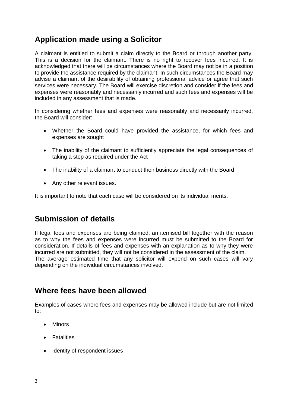# **Application made using a Solicitor**

A claimant is entitled to submit a claim directly to the Board or through another party. This is a decision for the claimant. There is no right to recover fees incurred. It is acknowledged that there will be circumstances where the Board may not be in a position to provide the assistance required by the claimant. In such circumstances the Board may advise a claimant of the desirability of obtaining professional advice or agree that such services were necessary. The Board will exercise discretion and consider if the fees and expenses were reasonably and necessarily incurred and such fees and expenses will be included in any assessment that is made.

In considering whether fees and expenses were reasonably and necessarily incurred, the Board will consider:

- Whether the Board could have provided the assistance, for which fees and expenses are sought
- The inability of the claimant to sufficiently appreciate the legal consequences of taking a step as required under the Act
- The inability of a claimant to conduct their business directly with the Board
- Any other relevant issues.

It is important to note that each case will be considered on its individual merits.

# **Submission of details**

If legal fees and expenses are being claimed, an itemised bill together with the reason as to why the fees and expenses were incurred must be submitted to the Board for consideration. If details of fees and expenses with an explanation as to why they were incurred are not submitted, they will not be considered in the assessment of the claim. The average estimated time that any solicitor will expend on such cases will vary depending on the individual circumstances involved.

### **Where fees have been allowed**

Examples of cases where fees and expenses may be allowed include but are not limited to:

- Minors
- **•** Fatalities
- Identity of respondent issues